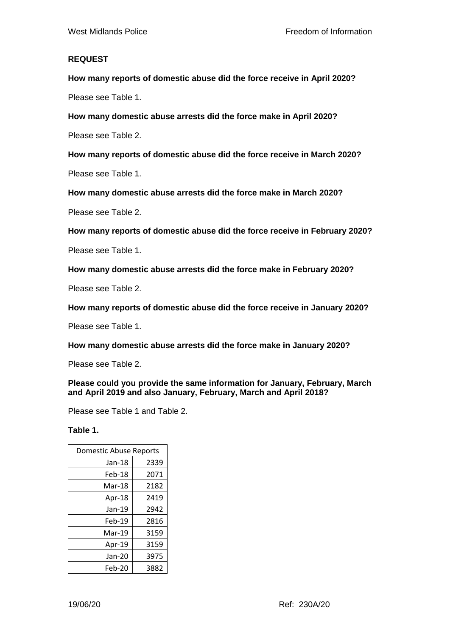## **REQUEST**

**How many reports of domestic abuse did the force receive in April 2020?**

Please see Table 1.

**How many domestic abuse arrests did the force make in April 2020?**

Please see Table 2.

**How many reports of domestic abuse did the force receive in March 2020?**

Please see Table 1.

**How many domestic abuse arrests did the force make in March 2020?**

Please see Table 2.

**How many reports of domestic abuse did the force receive in February 2020?**

Please see Table 1.

**How many domestic abuse arrests did the force make in February 2020?**

Please see Table 2.

**How many reports of domestic abuse did the force receive in January 2020?**

Please see Table 1.

**How many domestic abuse arrests did the force make in January 2020?**

Please see Table 2.

**Please could you provide the same information for January, February, March and April 2019 and also January, February, March and April 2018?**

Please see Table 1 and Table 2.

**Table 1.** 

| Domestic Abuse Reports |      |
|------------------------|------|
| Jan-18                 | 2339 |
| Feb-18                 | 2071 |
| Mar-18                 | 2182 |
| Apr-18                 | 2419 |
| Jan-19                 | 2942 |
| Feb-19                 | 2816 |
| Mar-19                 | 3159 |
| Apr-19                 | 3159 |
| Jan-20                 | 3975 |
| Feb-20                 | 3882 |